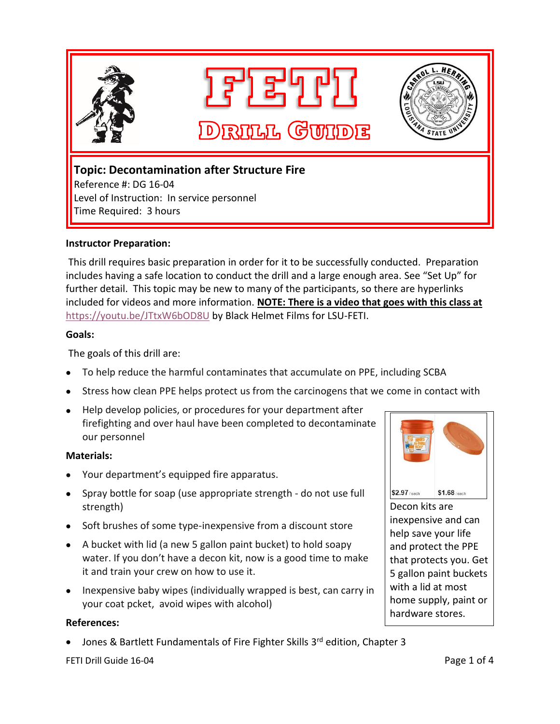

Level of Instruction: In service personnel Time Required: 3 hours

## **Instructor Preparation:**

This drill requires basic preparation in order for it to be successfully conducted. Preparation includes having a safe location to conduct the drill and a large enough area. See "Set Up" for further detail. This topic may be new to many of the participants, so there are hyperlinks included for videos and more information. **NOTE: There is a video that goes with this class at** <https://youtu.be/JTtxW6bOD8U> by Black Helmet Films for LSU-FETI.

## **Goals:**

The goals of this drill are:

- To help reduce the harmful contaminates that accumulate on PPE, including SCBA
- Stress how clean PPE helps protect us from the carcinogens that we come in contact with
- Help develop policies, or procedures for your department after firefighting and over haul have been completed to decontaminate our personnel

## **Materials:**

- Your department's equipped fire apparatus.
- Spray bottle for soap (use appropriate strength do not use full strength)
- Soft brushes of some type-inexpensive from a discount store
- A bucket with lid (a new 5 gallon paint bucket) to hold soapy water. If you don't have a decon kit, now is a good time to make it and train your crew on how to use it.
- Inexpensive baby wipes (individually wrapped is best, can carry in your coat pcket, avoid wipes with alcohol)

## **References:**

• Jones & Bartlett Fundamentals of Fire Fighter Skills 3<sup>rd</sup> edition, Chapter 3



Decon kits are inexpensive and can help save your life and protect the PPE that protects you. Get 5 gallon paint buckets with a lid at most home supply, paint or hardware stores.

FETI Drill Guide 16-04 **Page 1 of 4** Page 1 of 4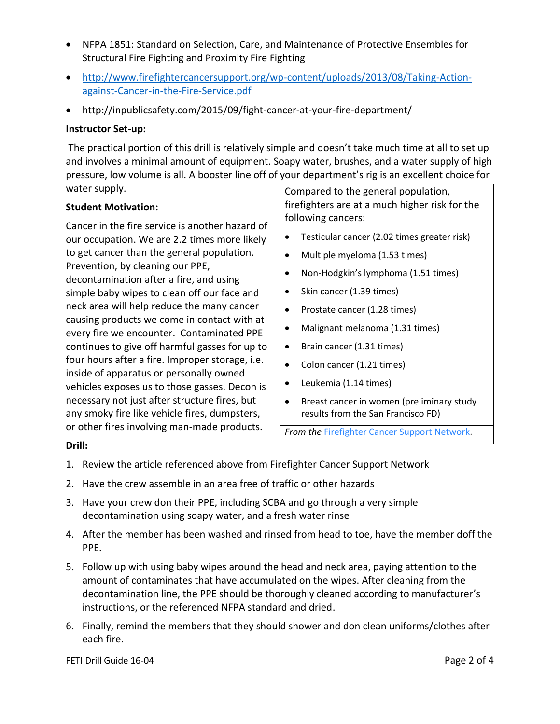- NFPA 1851: Standard on Selection, Care, and Maintenance of Protective Ensembles for Structural Fire Fighting and Proximity Fire Fighting
- [http://www.firefightercancersupport.org/wp-content/uploads/2013/08/Taking-Action](http://www.firefightercancersupport.org/wp-content/uploads/2013/08/Taking-Action-against-Cancer-in-the-Fire-Service.pdf)[against-Cancer-in-the-Fire-Service.pdf](http://www.firefightercancersupport.org/wp-content/uploads/2013/08/Taking-Action-against-Cancer-in-the-Fire-Service.pdf)
- http://inpublicsafety.com/2015/09/fight-cancer-at-your-fire-department/

## **Instructor Set-up:**

The practical portion of this drill is relatively simple and doesn't take much time at all to set up and involves a minimal amount of equipment. Soapy water, brushes, and a water supply of high pressure, low volume is all. A booster line off of your department's rig is an excellent choice for water supply.

## **Student Motivation:**

Cancer in the fire service is another hazard of our occupation. We are 2.2 times more likely to get cancer than the general population. Prevention, by cleaning our PPE, decontamination after a fire, and using simple baby wipes to clean off our face and neck area will help reduce the many cancer causing products we come in contact with at every fire we encounter. Contaminated PPE continues to give off harmful gasses for up to four hours after a fire. Improper storage, i.e. inside of apparatus or personally owned vehicles exposes us to those gasses. Decon is necessary not just after structure fires, but any smoky fire like vehicle fires, dumpsters, or other fires involving man-made products.

Compared to the general population, firefighters are at a much higher risk for the following cancers:

- Testicular cancer (2.02 times greater risk)
- Multiple myeloma (1.53 times)
- Non-Hodgkin's lymphoma (1.51 times)
- Skin cancer (1.39 times)
- Prostate cancer (1.28 times)
- Malignant melanoma (1.31 times)
- Brain cancer (1.31 times)
- Colon cancer (1.21 times)
- Leukemia (1.14 times)
- Breast cancer in women (preliminary study results from the San Francisco FD)

*From the* [Firefighter](http://www.firefightercancersupport.org/resources/) Cancer Support Network.

## **Drill:**

- 1. Review the article referenced above from Firefighter Cancer Support Network
- 2. Have the crew assemble in an area free of traffic or other hazards
- 3. Have your crew don their PPE, including SCBA and go through a very simple decontamination using soapy water, and a fresh water rinse
- 4. After the member has been washed and rinsed from head to toe, have the member doff the PPE.
- 5. Follow up with using baby wipes around the head and neck area, paying attention to the amount of contaminates that have accumulated on the wipes. After cleaning from the decontamination line, the PPE should be thoroughly cleaned according to manufacturer's instructions, or the referenced NFPA standard and dried.
- 6. Finally, remind the members that they should shower and don clean uniforms/clothes after each fire.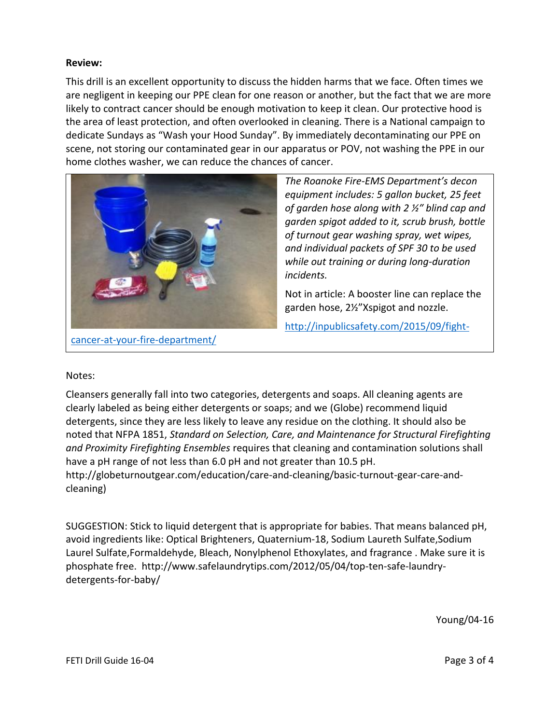## **Review:**

This drill is an excellent opportunity to discuss the hidden harms that we face. Often times we are negligent in keeping our PPE clean for one reason or another, but the fact that we are more likely to contract cancer should be enough motivation to keep it clean. Our protective hood is the area of least protection, and often overlooked in cleaning. There is a National campaign to dedicate Sundays as "Wash your Hood Sunday". By immediately decontaminating our PPE on scene, not storing our contaminated gear in our apparatus or POV, not washing the PPE in our home clothes washer, we can reduce the chances of cancer.



*The Roanoke Fire-EMS Department's decon equipment includes: 5 gallon bucket, 25 feet of garden hose along with 2 ½″ blind cap and garden spigot added to it, scrub brush, bottle of turnout gear washing spray, wet wipes, and individual packets of SPF 30 to be used while out training or during long-duration incidents.*

Not in article: A booster line can replace the garden hose, 2½"Xspigot and nozzle.

[http://inpublicsafety.com/2015/09/fight-](http://inpublicsafety.com/2015/09/fight-cancer-at-your-fire-department/)

[cancer-at-your-fire-department/](http://inpublicsafety.com/2015/09/fight-cancer-at-your-fire-department/)

## Notes:

Cleansers generally fall into two categories, detergents and soaps. All cleaning agents are clearly labeled as being either detergents or soaps; and we (Globe) recommend liquid detergents, since they are less likely to leave any residue on the clothing. It should also be noted that NFPA 1851, *Standard on Selection, Care, and Maintenance for Structural Firefighting and Proximity Firefighting Ensembles* requires that cleaning and contamination solutions shall have a pH range of not less than 6.0 pH and not greater than 10.5 pH.

[http://globeturnoutgear.com/education/care-and-cleaning/basic-turnout-gear-care-and](http://globeturnoutgear.com/education/care-and-cleaning/basic-turnout-gear-care-and-cleaning)[cleaning\)](http://globeturnoutgear.com/education/care-and-cleaning/basic-turnout-gear-care-and-cleaning)

SUGGESTION: Stick to liquid detergent that is appropriate for babies. That means balanced pH, avoid ingredients like: Optical Brighteners, Quaternium-18, Sodium Laureth Sulfate,Sodium Laurel Sulfate,Formaldehyde, Bleach, Nonylphenol Ethoxylates, and fragrance . Make sure it is phosphate free. http://www.safelaundrytips.com/2012/05/04/top-ten-safe-laundrydetergents-for-baby/

Young/04-16